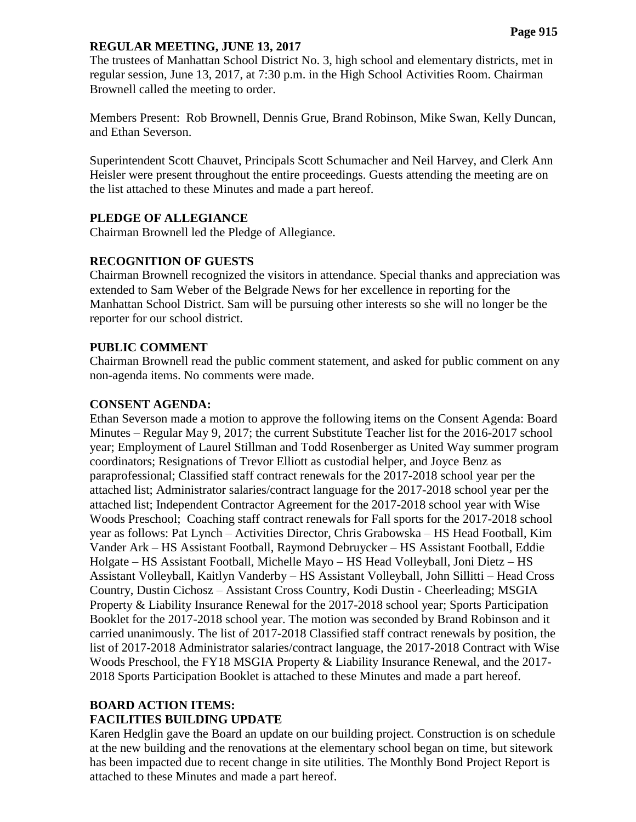#### **REGULAR MEETING, JUNE 13, 2017**

The trustees of Manhattan School District No. 3, high school and elementary districts, met in regular session, June 13, 2017, at 7:30 p.m. in the High School Activities Room. Chairman Brownell called the meeting to order.

Members Present: Rob Brownell, Dennis Grue, Brand Robinson, Mike Swan, Kelly Duncan, and Ethan Severson.

Superintendent Scott Chauvet, Principals Scott Schumacher and Neil Harvey, and Clerk Ann Heisler were present throughout the entire proceedings. Guests attending the meeting are on the list attached to these Minutes and made a part hereof.

## **PLEDGE OF ALLEGIANCE**

Chairman Brownell led the Pledge of Allegiance.

## **RECOGNITION OF GUESTS**

Chairman Brownell recognized the visitors in attendance. Special thanks and appreciation was extended to Sam Weber of the Belgrade News for her excellence in reporting for the Manhattan School District. Sam will be pursuing other interests so she will no longer be the reporter for our school district.

## **PUBLIC COMMENT**

Chairman Brownell read the public comment statement, and asked for public comment on any non-agenda items. No comments were made.

## **CONSENT AGENDA:**

Ethan Severson made a motion to approve the following items on the Consent Agenda: Board Minutes – Regular May 9, 2017; the current Substitute Teacher list for the 2016-2017 school year; Employment of Laurel Stillman and Todd Rosenberger as United Way summer program coordinators; Resignations of Trevor Elliott as custodial helper, and Joyce Benz as paraprofessional; Classified staff contract renewals for the 2017-2018 school year per the attached list; Administrator salaries/contract language for the 2017-2018 school year per the attached list; Independent Contractor Agreement for the 2017-2018 school year with Wise Woods Preschool; Coaching staff contract renewals for Fall sports for the 2017-2018 school year as follows: Pat Lynch – Activities Director, Chris Grabowska – HS Head Football, Kim Vander Ark – HS Assistant Football, Raymond Debruycker – HS Assistant Football, Eddie Holgate – HS Assistant Football, Michelle Mayo – HS Head Volleyball, Joni Dietz – HS Assistant Volleyball, Kaitlyn Vanderby – HS Assistant Volleyball, John Sillitti – Head Cross Country, Dustin Cichosz – Assistant Cross Country, Kodi Dustin - Cheerleading; MSGIA Property & Liability Insurance Renewal for the 2017-2018 school year; Sports Participation Booklet for the 2017-2018 school year. The motion was seconded by Brand Robinson and it carried unanimously. The list of 2017-2018 Classified staff contract renewals by position, the list of 2017-2018 Administrator salaries/contract language, the 2017-2018 Contract with Wise Woods Preschool, the FY18 MSGIA Property & Liability Insurance Renewal, and the 2017- 2018 Sports Participation Booklet is attached to these Minutes and made a part hereof.

# **BOARD ACTION ITEMS: FACILITIES BUILDING UPDATE**

Karen Hedglin gave the Board an update on our building project. Construction is on schedule at the new building and the renovations at the elementary school began on time, but sitework has been impacted due to recent change in site utilities. The Monthly Bond Project Report is attached to these Minutes and made a part hereof.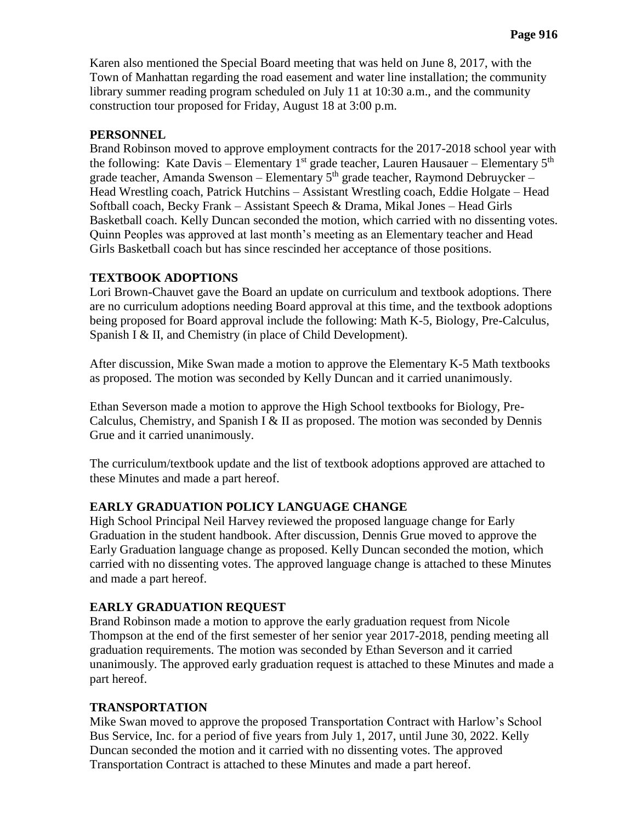Karen also mentioned the Special Board meeting that was held on June 8, 2017, with the Town of Manhattan regarding the road easement and water line installation; the community library summer reading program scheduled on July 11 at 10:30 a.m., and the community construction tour proposed for Friday, August 18 at 3:00 p.m.

#### **PERSONNEL**

Brand Robinson moved to approve employment contracts for the 2017-2018 school year with the following: Kate Davis – Elementary  $1<sup>st</sup>$  grade teacher, Lauren Hausauer – Elementary  $5<sup>th</sup>$ grade teacher, Amanda Swenson – Elementary  $5<sup>th</sup>$  grade teacher, Raymond Debruycker – Head Wrestling coach, Patrick Hutchins – Assistant Wrestling coach, Eddie Holgate – Head Softball coach, Becky Frank – Assistant Speech & Drama, Mikal Jones – Head Girls Basketball coach. Kelly Duncan seconded the motion, which carried with no dissenting votes. Quinn Peoples was approved at last month's meeting as an Elementary teacher and Head Girls Basketball coach but has since rescinded her acceptance of those positions.

## **TEXTBOOK ADOPTIONS**

Lori Brown-Chauvet gave the Board an update on curriculum and textbook adoptions. There are no curriculum adoptions needing Board approval at this time, and the textbook adoptions being proposed for Board approval include the following: Math K-5, Biology, Pre-Calculus, Spanish I & II, and Chemistry (in place of Child Development).

After discussion, Mike Swan made a motion to approve the Elementary K-5 Math textbooks as proposed. The motion was seconded by Kelly Duncan and it carried unanimously.

Ethan Severson made a motion to approve the High School textbooks for Biology, Pre-Calculus, Chemistry, and Spanish I & II as proposed. The motion was seconded by Dennis Grue and it carried unanimously.

The curriculum/textbook update and the list of textbook adoptions approved are attached to these Minutes and made a part hereof.

## **EARLY GRADUATION POLICY LANGUAGE CHANGE**

High School Principal Neil Harvey reviewed the proposed language change for Early Graduation in the student handbook. After discussion, Dennis Grue moved to approve the Early Graduation language change as proposed. Kelly Duncan seconded the motion, which carried with no dissenting votes. The approved language change is attached to these Minutes and made a part hereof.

## **EARLY GRADUATION REQUEST**

Brand Robinson made a motion to approve the early graduation request from Nicole Thompson at the end of the first semester of her senior year 2017-2018, pending meeting all graduation requirements. The motion was seconded by Ethan Severson and it carried unanimously. The approved early graduation request is attached to these Minutes and made a part hereof.

#### **TRANSPORTATION**

Mike Swan moved to approve the proposed Transportation Contract with Harlow's School Bus Service, Inc. for a period of five years from July 1, 2017, until June 30, 2022. Kelly Duncan seconded the motion and it carried with no dissenting votes. The approved Transportation Contract is attached to these Minutes and made a part hereof.